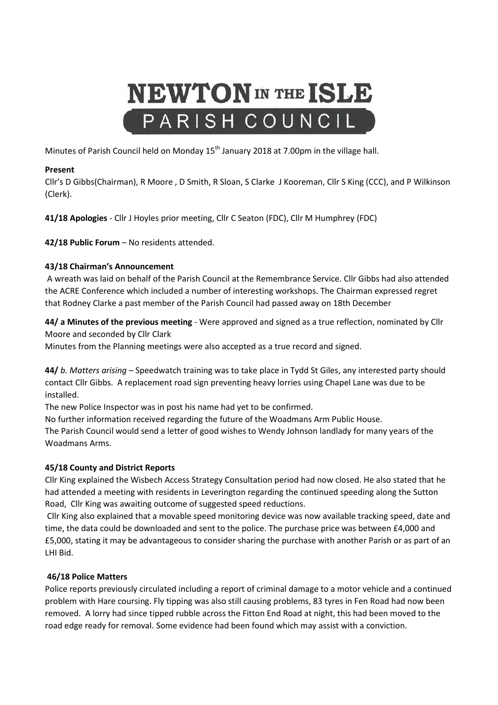# **NEWTON** IN THE ISLE PARISH COUNCIL

Minutes of Parish Council held on Monday 15<sup>th</sup> January 2018 at 7.00pm in the village hall.

# **Present**

Cllr's D Gibbs(Chairman), R Moore , D Smith, R Sloan, S Clarke J Kooreman, Cllr S King (CCC), and P Wilkinson (Clerk).

**41/18 Apologies** - Cllr J Hoyles prior meeting, Cllr C Seaton (FDC), Cllr M Humphrey (FDC)

**42/18 Public Forum** – No residents attended.

# **43/18 Chairman's Announcement**

A wreath was laid on behalf of the Parish Council at the Remembrance Service. Cllr Gibbs had also attended the ACRE Conference which included a number of interesting workshops. The Chairman expressed regret that Rodney Clarke a past member of the Parish Council had passed away on 18th December

**44/ a Minutes of the previous meeting** - Were approved and signed as a true reflection, nominated by Cllr Moore and seconded by Cllr Clark

Minutes from the Planning meetings were also accepted as a true record and signed.

**44/** *b. Matters arising* – Speedwatch training was to take place in Tydd St Giles, any interested party should contact Cllr Gibbs. A replacement road sign preventing heavy lorries using Chapel Lane was due to be installed.

The new Police Inspector was in post his name had yet to be confirmed.

No further information received regarding the future of the Woadmans Arm Public House.

The Parish Council would send a letter of good wishes to Wendy Johnson landlady for many years of the Woadmans Arms.

# **45/18 County and District Reports**

Cllr King explained the Wisbech Access Strategy Consultation period had now closed. He also stated that he had attended a meeting with residents in Leverington regarding the continued speeding along the Sutton Road, Cllr King was awaiting outcome of suggested speed reductions.

Cllr King also explained that a movable speed monitoring device was now available tracking speed, date and time, the data could be downloaded and sent to the police. The purchase price was between £4,000 and £5,000, stating it may be advantageous to consider sharing the purchase with another Parish or as part of an LHI Bid.

# **46/18 Police Matters**

Police reports previously circulated including a report of criminal damage to a motor vehicle and a continued problem with Hare coursing. Fly tipping was also still causing problems, 83 tyres in Fen Road had now been removed. A lorry had since tipped rubble across the Fitton End Road at night, this had been moved to the road edge ready for removal. Some evidence had been found which may assist with a conviction.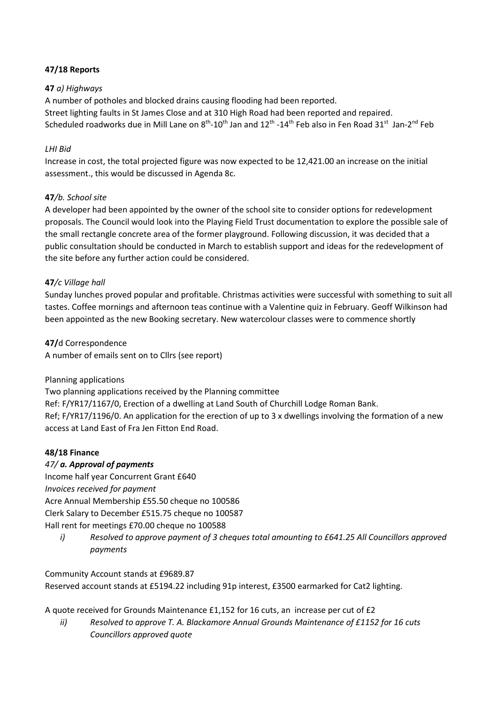# **47/18 Reports**

### **47** *a) Highways*

A number of potholes and blocked drains causing flooding had been reported. Street lighting faults in St James Close and at 310 High Road had been reported and repaired. Scheduled roadworks due in Mill Lane on  $8^{th}$ -10<sup>th</sup> Jan and 12<sup>th</sup> -14<sup>th</sup> Feb also in Fen Road 31<sup>st</sup> Jan-2<sup>nd</sup> Feb

### *LHI Bid*

Increase in cost, the total projected figure was now expected to be 12,421.00 an increase on the initial assessment., this would be discussed in Agenda 8c.

#### **47***/b. School site*

A developer had been appointed by the owner of the school site to consider options for redevelopment proposals. The Council would look into the Playing Field Trust documentation to explore the possible sale of the small rectangle concrete area of the former playground. Following discussion, it was decided that a public consultation should be conducted in March to establish support and ideas for the redevelopment of the site before any further action could be considered.

#### **47***/c Village hall*

Sunday lunches proved popular and profitable. Christmas activities were successful with something to suit all tastes. Coffee mornings and afternoon teas continue with a Valentine quiz in February. Geoff Wilkinson had been appointed as the new Booking secretary. New watercolour classes were to commence shortly

**47/**d Correspondence A number of emails sent on to Cllrs (see report)

#### Planning applications

Two planning applications received by the Planning committee Ref: F/YR17/1167/0, Erection of a dwelling at Land South of Churchill Lodge Roman Bank. Ref; F/YR17/1196/0. An application for the erection of up to 3 x dwellings involving the formation of a new access at Land East of Fra Jen Fitton End Road.

# **48/18 Finance**

# *47/ a. Approval of payments*

Income half year Concurrent Grant £640 *Invoices received for payment*  Acre Annual Membership £55.50 cheque no 100586 Clerk Salary to December £515.75 cheque no 100587 Hall rent for meetings £70.00 cheque no 100588

*i) Resolved to approve payment of 3 cheques total amounting to £641.25 All Councillors approved payments*

Community Account stands at £9689.87 Reserved account stands at £5194.22 including 91p interest, £3500 earmarked for Cat2 lighting.

A quote received for Grounds Maintenance £1,152 for 16 cuts, an increase per cut of £2

*ii) Resolved to approve T. A. Blackamore Annual Grounds Maintenance of £1152 for 16 cuts Councillors approved quote*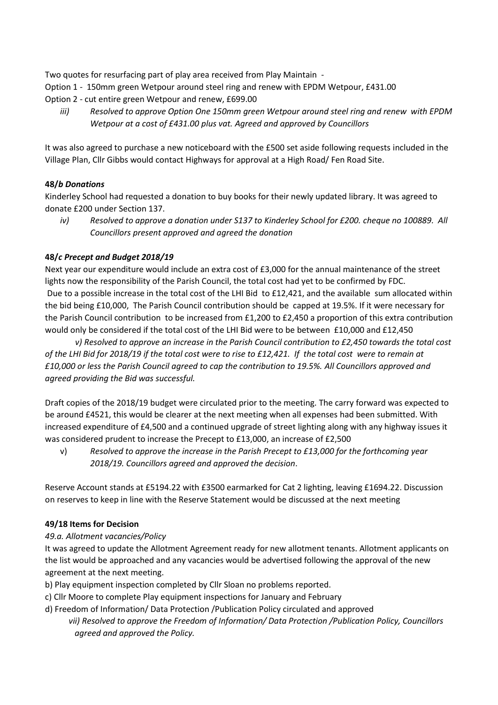Two quotes for resurfacing part of play area received from Play Maintain -

- Option 1 150mm green Wetpour around steel ring and renew with EPDM Wetpour, £431.00
- Option 2 cut entire green Wetpour and renew, £699.00
	- *iii) Resolved to approve Option One 150mm green Wetpour around steel ring and renew with EPDM Wetpour at a cost of £431.00 plus vat. Agreed and approved by Councillors*

It was also agreed to purchase a new noticeboard with the £500 set aside following requests included in the Village Plan, Cllr Gibbs would contact Highways for approval at a High Road/ Fen Road Site.

# **48/***b Donations*

Kinderley School had requested a donation to buy books for their newly updated library. It was agreed to donate £200 under Section 137.

*iv) Resolved to approve a donation under S137 to Kinderley School for £200. cheque no 100889. All Councillors present approved and agreed the donation*

# **48/***c Precept and Budget 2018/19*

Next year our expenditure would include an extra cost of £3,000 for the annual maintenance of the street lights now the responsibility of the Parish Council, the total cost had yet to be confirmed by FDC. Due to a possible increase in the total cost of the LHI Bid to £12,421, and the available sum allocated within the bid being £10,000, The Parish Council contribution should be capped at 19.5%. If it were necessary for the Parish Council contribution to be increased from £1,200 to £2,450 a proportion of this extra contribution would only be considered if the total cost of the LHI Bid were to be between £10,000 and £12,450

*v) Resolved to approve an increase in the Parish Council contribution to £2,450 towards the total cost of the LHI Bid for 2018/19 if the total cost were to rise to £12,421. If the total cost were to remain at £10,000 or less the Parish Council agreed to cap the contribution to 19.5%. All Councillors approved and agreed providing the Bid was successful.*

Draft copies of the 2018/19 budget were circulated prior to the meeting. The carry forward was expected to be around £4521, this would be clearer at the next meeting when all expenses had been submitted. With increased expenditure of £4,500 and a continued upgrade of street lighting along with any highway issues it was considered prudent to increase the Precept to £13,000, an increase of £2,500

v) *Resolved to approve the increase in the Parish Precept to £13,000 for the forthcoming year 2018/19. Councillors agreed and approved the decision*.

Reserve Account stands at £5194.22 with £3500 earmarked for Cat 2 lighting, leaving £1694.22. Discussion on reserves to keep in line with the Reserve Statement would be discussed at the next meeting

# **49/18 Items for Decision**

# *49.a. Allotment vacancies/Policy*

It was agreed to update the Allotment Agreement ready for new allotment tenants. Allotment applicants on the list would be approached and any vacancies would be advertised following the approval of the new agreement at the next meeting.

- b) Play equipment inspection completed by Cllr Sloan no problems reported.
- c) Cllr Moore to complete Play equipment inspections for January and February
- d) Freedom of Information/ Data Protection /Publication Policy circulated and approved *vii) Resolved to approve the Freedom of Information/ Data Protection /Publication Policy, Councillors agreed and approved the Policy.*